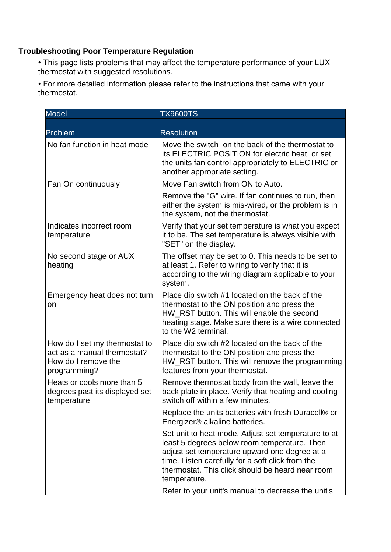## **Troubleshooting Poor Temperature Regulation**

• This page lists problems that may affect the temperature performance of your LUX thermostat with suggested resolutions.

• For more detailed information please refer to the instructions that came with your thermostat.

| <b>Model</b>                                                                                        | <b>TX9600TS</b>                                                                                                                                                                                                                                                              |
|-----------------------------------------------------------------------------------------------------|------------------------------------------------------------------------------------------------------------------------------------------------------------------------------------------------------------------------------------------------------------------------------|
|                                                                                                     |                                                                                                                                                                                                                                                                              |
| Problem                                                                                             | <b>Resolution</b>                                                                                                                                                                                                                                                            |
| No fan function in heat mode                                                                        | Move the switch on the back of the thermostat to<br>its ELECTRIC POSITION for electric heat, or set<br>the units fan control appropriately to ELECTRIC or<br>another appropriate setting.                                                                                    |
| Fan On continuously                                                                                 | Move Fan switch from ON to Auto.                                                                                                                                                                                                                                             |
|                                                                                                     | Remove the "G" wire. If fan continues to run, then<br>either the system is mis-wired, or the problem is in<br>the system, not the thermostat.                                                                                                                                |
| Indicates incorrect room<br>temperature                                                             | Verify that your set temperature is what you expect<br>it to be. The set temperature is always visible with<br>"SET" on the display.                                                                                                                                         |
| No second stage or AUX<br>heating                                                                   | The offset may be set to 0. This needs to be set to<br>at least 1. Refer to wiring to verify that it is<br>according to the wiring diagram applicable to your<br>system.                                                                                                     |
| Emergency heat does not turn<br>on                                                                  | Place dip switch #1 located on the back of the<br>thermostat to the ON position and press the<br>HW RST button. This will enable the second<br>heating stage. Make sure there is a wire connected<br>to the W2 terminal.                                                     |
| How do I set my thermostat to<br>act as a manual thermostat?<br>How do I remove the<br>programming? | Place dip switch #2 located on the back of the<br>thermostat to the ON position and press the<br>HW_RST button. This will remove the programming<br>features from your thermostat.                                                                                           |
| Heats or cools more than 5<br>degrees past its displayed set<br>temperature                         | Remove thermostat body from the wall, leave the<br>back plate in place. Verify that heating and cooling<br>switch off within a few minutes.                                                                                                                                  |
|                                                                                                     | Replace the units batteries with fresh Duracell® or<br>Energizer® alkaline batteries.                                                                                                                                                                                        |
|                                                                                                     | Set unit to heat mode. Adjust set temperature to at<br>least 5 degrees below room temperature. Then<br>adjust set temperature upward one degree at a<br>time. Listen carefully for a soft click from the<br>thermostat. This click should be heard near room<br>temperature. |
|                                                                                                     | Refer to your unit's manual to decrease the unit's                                                                                                                                                                                                                           |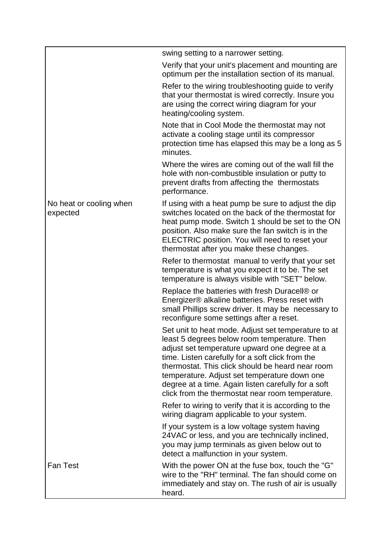|                                     | swing setting to a narrower setting.                                                                                                                                                                                                                                                                                                                                                                                    |
|-------------------------------------|-------------------------------------------------------------------------------------------------------------------------------------------------------------------------------------------------------------------------------------------------------------------------------------------------------------------------------------------------------------------------------------------------------------------------|
|                                     | Verify that your unit's placement and mounting are<br>optimum per the installation section of its manual.                                                                                                                                                                                                                                                                                                               |
|                                     | Refer to the wiring troubleshooting guide to verify<br>that your thermostat is wired correctly. Insure you<br>are using the correct wiring diagram for your<br>heating/cooling system.                                                                                                                                                                                                                                  |
|                                     | Note that in Cool Mode the thermostat may not<br>activate a cooling stage until its compressor<br>protection time has elapsed this may be a long as 5<br>minutes.                                                                                                                                                                                                                                                       |
|                                     | Where the wires are coming out of the wall fill the<br>hole with non-combustible insulation or putty to<br>prevent drafts from affecting the thermostats<br>performance.                                                                                                                                                                                                                                                |
| No heat or cooling when<br>expected | If using with a heat pump be sure to adjust the dip<br>switches located on the back of the thermostat for<br>heat pump mode. Switch 1 should be set to the ON<br>position. Also make sure the fan switch is in the<br>ELECTRIC position. You will need to reset your<br>thermostat after you make these changes.                                                                                                        |
|                                     | Refer to thermostat manual to verify that your set<br>temperature is what you expect it to be. The set<br>temperature is always visible with "SET" below.                                                                                                                                                                                                                                                               |
|                                     | Replace the batteries with fresh Duracell® or<br>Energizer® alkaline batteries. Press reset with<br>small Phillips screw driver. It may be necessary to<br>reconfigure some settings after a reset.                                                                                                                                                                                                                     |
|                                     | Set unit to heat mode. Adjust set temperature to at<br>least 5 degrees below room temperature. Then<br>adjust set temperature upward one degree at a<br>time. Listen carefully for a soft click from the<br>thermostat. This click should be heard near room<br>temperature. Adjust set temperature down one<br>degree at a time. Again listen carefully for a soft<br>click from the thermostat near room temperature. |
|                                     | Refer to wiring to verify that it is according to the<br>wiring diagram applicable to your system.                                                                                                                                                                                                                                                                                                                      |
|                                     | If your system is a low voltage system having<br>24VAC or less, and you are technically inclined,<br>you may jump terminals as given below out to<br>detect a malfunction in your system.                                                                                                                                                                                                                               |
| <b>Fan Test</b>                     | With the power ON at the fuse box, touch the "G"<br>wire to the "RH" terminal. The fan should come on<br>immediately and stay on. The rush of air is usually<br>heard.                                                                                                                                                                                                                                                  |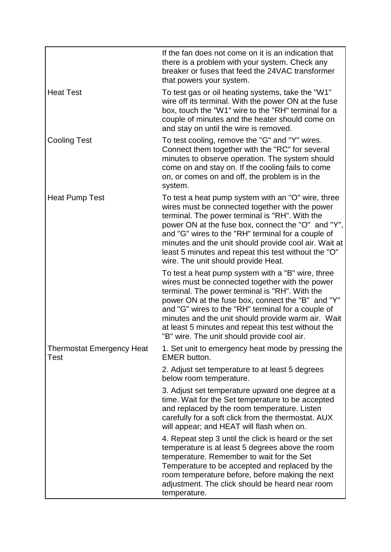|                                          | If the fan does not come on it is an indication that<br>there is a problem with your system. Check any<br>breaker or fuses that feed the 24VAC transformer<br>that powers your system.                                                                                                                                                                                                                                        |
|------------------------------------------|-------------------------------------------------------------------------------------------------------------------------------------------------------------------------------------------------------------------------------------------------------------------------------------------------------------------------------------------------------------------------------------------------------------------------------|
| <b>Heat Test</b>                         | To test gas or oil heating systems, take the "W1"<br>wire off its terminal. With the power ON at the fuse<br>box, touch the "W1" wire to the "RH" terminal for a<br>couple of minutes and the heater should come on<br>and stay on until the wire is removed.                                                                                                                                                                 |
| <b>Cooling Test</b>                      | To test cooling, remove the "G" and "Y" wires.<br>Connect them together with the "RC" for several<br>minutes to observe operation. The system should<br>come on and stay on. If the cooling fails to come<br>on, or comes on and off, the problem is in the<br>system.                                                                                                                                                        |
| <b>Heat Pump Test</b>                    | To test a heat pump system with an "O" wire, three<br>wires must be connected together with the power<br>terminal. The power terminal is "RH". With the<br>power ON at the fuse box, connect the "O" and "Y",<br>and "G" wires to the "RH" terminal for a couple of<br>minutes and the unit should provide cool air. Wait at<br>least 5 minutes and repeat this test without the "O"<br>wire. The unit should provide Heat.   |
|                                          | To test a heat pump system with a "B" wire, three<br>wires must be connected together with the power<br>terminal. The power terminal is "RH". With the<br>power ON at the fuse box, connect the "B" and "Y"<br>and "G" wires to the "RH" terminal for a couple of<br>minutes and the unit should provide warm air. Wait<br>at least 5 minutes and repeat this test without the<br>"B" wire. The unit should provide cool air. |
| <b>Thermostat Emergency Heat</b><br>Test | 1. Set unit to emergency heat mode by pressing the<br><b>EMER</b> button.                                                                                                                                                                                                                                                                                                                                                     |
|                                          | 2. Adjust set temperature to at least 5 degrees<br>below room temperature.                                                                                                                                                                                                                                                                                                                                                    |
|                                          | 3. Adjust set temperature upward one degree at a<br>time. Wait for the Set temperature to be accepted<br>and replaced by the room temperature. Listen<br>carefully for a soft click from the thermostat. AUX<br>will appear; and HEAT will flash when on.                                                                                                                                                                     |
|                                          | 4. Repeat step 3 until the click is heard or the set<br>temperature is at least 5 degrees above the room<br>temperature. Remember to wait for the Set<br>Temperature to be accepted and replaced by the<br>room temperature before, before making the next<br>adjustment. The click should be heard near room<br>temperature.                                                                                                 |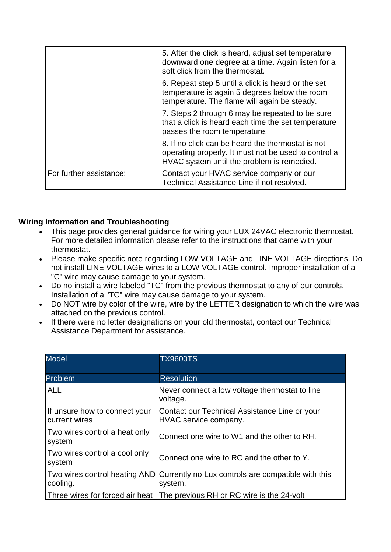|                         | 5. After the click is heard, adjust set temperature<br>downward one degree at a time. Again listen for a<br>soft click from the thermostat.             |
|-------------------------|---------------------------------------------------------------------------------------------------------------------------------------------------------|
|                         | 6. Repeat step 5 until a click is heard or the set<br>temperature is again 5 degrees below the room<br>temperature. The flame will again be steady.     |
|                         | 7. Steps 2 through 6 may be repeated to be sure<br>that a click is heard each time the set temperature<br>passes the room temperature.                  |
|                         | 8. If no click can be heard the thermostat is not<br>operating properly. It must not be used to control a<br>HVAC system until the problem is remedied. |
| For further assistance: | Contact your HVAC service company or our<br>Technical Assistance Line if not resolved.                                                                  |

## **Wiring Information and Troubleshooting**

- This page provides general guidance for wiring your LUX 24VAC electronic thermostat. For more detailed information please refer to the instructions that came with your thermostat.
- Please make specific note regarding LOW VOLTAGE and LINE VOLTAGE directions. Do not install LINE VOLTAGE wires to a LOW VOLTAGE control. Improper installation of a "C" wire may cause damage to your system.
- Do no install a wire labeled "TC" from the previous thermostat to any of our controls. Installation of a "TC" wire may cause damage to your system.
- Do NOT wire by color of the wire, wire by the LETTER designation to which the wire was attached on the previous control.
- If there were no letter designations on your old thermostat, contact our Technical Assistance Department for assistance.

| <b>Model</b>                                   | <b>TX9600TS</b>                                                                             |
|------------------------------------------------|---------------------------------------------------------------------------------------------|
|                                                |                                                                                             |
| Problem                                        | <b>Resolution</b>                                                                           |
| <b>ALL</b>                                     | Never connect a low voltage thermostat to line<br>voltage.                                  |
| If unsure how to connect your<br>current wires | Contact our Technical Assistance Line or your<br>HVAC service company.                      |
| Two wires control a heat only<br>system        | Connect one wire to W1 and the other to RH.                                                 |
| Two wires control a cool only<br>system        | Connect one wire to RC and the other to Y.                                                  |
| cooling.                                       | Two wires control heating AND Currently no Lux controls are compatible with this<br>system. |
|                                                | Three wires for forced air heat The previous RH or RC wire is the 24-volt                   |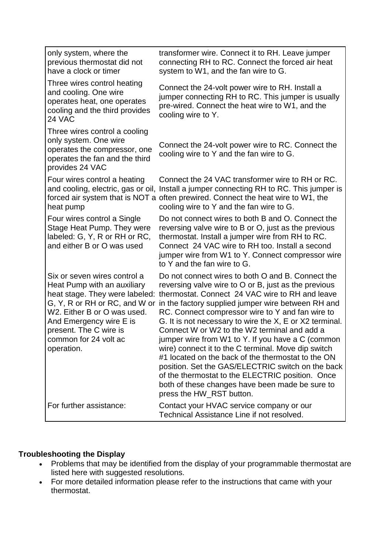| only system, where the<br>previous thermostat did not<br>have a clock or timer                                                                                                                                                                            | transformer wire. Connect it to RH. Leave jumper<br>connecting RH to RC. Connect the forced air heat<br>system to W1, and the fan wire to G.                                                                                                                                                                                                                                                                                                                                                                                                                                                                                                                                                                                                |
|-----------------------------------------------------------------------------------------------------------------------------------------------------------------------------------------------------------------------------------------------------------|---------------------------------------------------------------------------------------------------------------------------------------------------------------------------------------------------------------------------------------------------------------------------------------------------------------------------------------------------------------------------------------------------------------------------------------------------------------------------------------------------------------------------------------------------------------------------------------------------------------------------------------------------------------------------------------------------------------------------------------------|
| Three wires control heating<br>and cooling. One wire<br>operates heat, one operates<br>cooling and the third provides<br>24 VAC                                                                                                                           | Connect the 24-volt power wire to RH. Install a<br>jumper connecting RH to RC. This jumper is usually<br>pre-wired. Connect the heat wire to W1, and the<br>cooling wire to Y.                                                                                                                                                                                                                                                                                                                                                                                                                                                                                                                                                              |
| Three wires control a cooling<br>only system. One wire<br>operates the compressor, one<br>operates the fan and the third<br>provides 24 VAC                                                                                                               | Connect the 24-volt power wire to RC. Connect the<br>cooling wire to Y and the fan wire to G.                                                                                                                                                                                                                                                                                                                                                                                                                                                                                                                                                                                                                                               |
| Four wires control a heating<br>and cooling, electric, gas or oil,<br>heat pump                                                                                                                                                                           | Connect the 24 VAC transformer wire to RH or RC.<br>Install a jumper connecting RH to RC. This jumper is<br>forced air system that is NOT a often prewired. Connect the heat wire to W1, the<br>cooling wire to Y and the fan wire to G.                                                                                                                                                                                                                                                                                                                                                                                                                                                                                                    |
| Four wires control a Single<br>Stage Heat Pump. They were<br>labeled: G, Y, R or RH or RC,<br>and either B or O was used                                                                                                                                  | Do not connect wires to both B and O. Connect the<br>reversing valve wire to B or O, just as the previous<br>thermostat. Install a jumper wire from RH to RC.<br>Connect 24 VAC wire to RH too. Install a second<br>jumper wire from W1 to Y. Connect compressor wire<br>to Y and the fan wire to G.                                                                                                                                                                                                                                                                                                                                                                                                                                        |
| Six or seven wires control a<br>Heat Pump with an auxiliary<br>heat stage. They were labeled:<br>G, Y, R or RH or RC, and W or<br>W2. Either B or O was used.<br>And Emergency wire E is<br>present. The C wire is<br>common for 24 volt ac<br>operation. | Do not connect wires to both O and B. Connect the<br>reversing valve wire to O or B, just as the previous<br>thermostat. Connect 24 VAC wire to RH and leave<br>in the factory supplied jumper wire between RH and<br>RC. Connect compressor wire to Y and fan wire to<br>G. It is not necessary to wire the X, E or X2 terminal.<br>Connect W or W2 to the W2 terminal and add a<br>jumper wire from W1 to Y. If you have a C (common<br>wire) connect it to the C terminal. Move dip switch<br>#1 located on the back of the thermostat to the ON<br>position. Set the GAS/ELECTRIC switch on the back<br>of the thermostat to the ELECTRIC position. Once<br>both of these changes have been made be sure to<br>press the HW_RST button. |
| For further assistance:                                                                                                                                                                                                                                   | Contact your HVAC service company or our<br>Technical Assistance Line if not resolved.                                                                                                                                                                                                                                                                                                                                                                                                                                                                                                                                                                                                                                                      |

## **Troubleshooting the Display**

- Problems that may be identified from the display of your programmable thermostat are listed here with suggested resolutions.
- For more detailed information please refer to the instructions that came with your thermostat.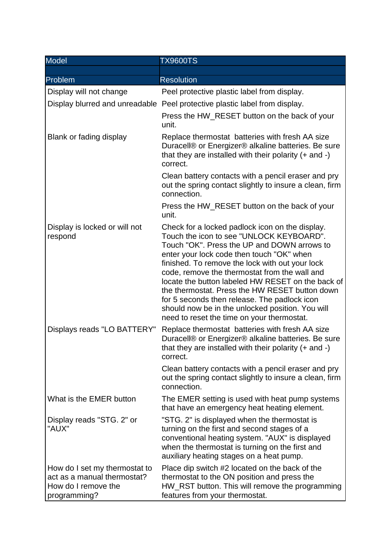| <b>Model</b>                                                                                        | <b>TX9600TS</b>                                                                                                                                                                                                                                                                                                                                                                                                                                                                                                                                      |
|-----------------------------------------------------------------------------------------------------|------------------------------------------------------------------------------------------------------------------------------------------------------------------------------------------------------------------------------------------------------------------------------------------------------------------------------------------------------------------------------------------------------------------------------------------------------------------------------------------------------------------------------------------------------|
|                                                                                                     |                                                                                                                                                                                                                                                                                                                                                                                                                                                                                                                                                      |
| Problem                                                                                             | <b>Resolution</b>                                                                                                                                                                                                                                                                                                                                                                                                                                                                                                                                    |
| Display will not change                                                                             | Peel protective plastic label from display.                                                                                                                                                                                                                                                                                                                                                                                                                                                                                                          |
|                                                                                                     | Display blurred and unreadable Peel protective plastic label from display.                                                                                                                                                                                                                                                                                                                                                                                                                                                                           |
|                                                                                                     | Press the HW_RESET button on the back of your<br>unit.                                                                                                                                                                                                                                                                                                                                                                                                                                                                                               |
| Blank or fading display                                                                             | Replace thermostat batteries with fresh AA size<br>Duracell® or Energizer® alkaline batteries. Be sure<br>that they are installed with their polarity $(+)$ and $-)$<br>correct.                                                                                                                                                                                                                                                                                                                                                                     |
|                                                                                                     | Clean battery contacts with a pencil eraser and pry<br>out the spring contact slightly to insure a clean, firm<br>connection.                                                                                                                                                                                                                                                                                                                                                                                                                        |
|                                                                                                     | Press the HW_RESET button on the back of your<br>unit.                                                                                                                                                                                                                                                                                                                                                                                                                                                                                               |
| Display is locked or will not<br>respond                                                            | Check for a locked padlock icon on the display.<br>Touch the icon to see "UNLOCK KEYBOARD".<br>Touch "OK". Press the UP and DOWN arrows to<br>enter your lock code then touch "OK" when<br>finished. To remove the lock with out your lock<br>code, remove the thermostat from the wall and<br>locate the button labeled HW RESET on the back of<br>the thermostat. Press the HW RESET button down<br>for 5 seconds then release. The padlock icon<br>should now be in the unlocked position. You will<br>need to reset the time on your thermostat. |
| Displays reads "LO BATTERY"                                                                         | Replace thermostat batteries with fresh AA size<br>Duracell® or Energizer® alkaline batteries. Be sure<br>that they are installed with their polarity $(+)$ and $-)$<br>correct.                                                                                                                                                                                                                                                                                                                                                                     |
|                                                                                                     | Clean battery contacts with a pencil eraser and pry<br>out the spring contact slightly to insure a clean, firm<br>connection.                                                                                                                                                                                                                                                                                                                                                                                                                        |
| What is the EMER button                                                                             | The EMER setting is used with heat pump systems<br>that have an emergency heat heating element.                                                                                                                                                                                                                                                                                                                                                                                                                                                      |
| Display reads "STG. 2" or<br>"AUX"                                                                  | "STG. 2" is displayed when the thermostat is<br>turning on the first and second stages of a<br>conventional heating system. "AUX" is displayed<br>when the thermostat is turning on the first and<br>auxiliary heating stages on a heat pump.                                                                                                                                                                                                                                                                                                        |
| How do I set my thermostat to<br>act as a manual thermostat?<br>How do I remove the<br>programming? | Place dip switch #2 located on the back of the<br>thermostat to the ON position and press the<br>HW_RST button. This will remove the programming<br>features from your thermostat.                                                                                                                                                                                                                                                                                                                                                                   |